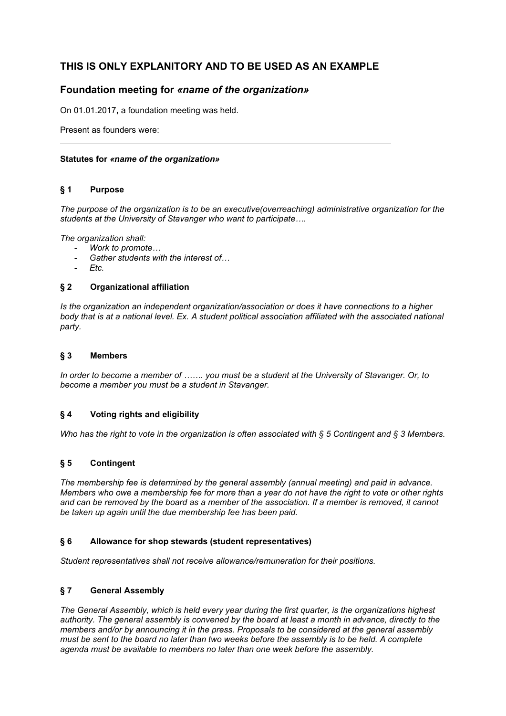# **THIS IS ONLY EXPLANITORY AND TO BE USED AS AN EXAMPLE**

## **Foundation meeting for** *«name of the organization»*

On 01.01.2017**,** a foundation meeting was held.

Present as founders were:

## **Statutes for** *«name of the organization»*

## **§ 1 Purpose**

*The purpose of the organization is to be an executive(overreaching) administrative organization for the students at the University of Stavanger who want to participate….*

*The organization shall:* 

- *- Work to promote…*
- *- Gather students with the interest of…*
- *- Etc.*

#### **§ 2 Organizational affiliation**

*Is the organization an independent organization/association or does it have connections to a higher*  body that is at a national level. Ex. A student political association affiliated with the associated national *party.*

## **§ 3 Members**

*In order to become a member of ……. you must be a student at the University of Stavanger. Or, to become a member you must be a student in Stavanger.* 

## **§ 4 Voting rights and eligibility**

*Who has the right to vote in the organization is often associated with § 5 Contingent and § 3 Members.*

## **§ 5 Contingent**

*The membership fee is determined by the general assembly (annual meeting) and paid in advance. Members who owe a membership fee for more than a year do not have the right to vote or other rights and can be removed by the board as a member of the association. If a member is removed, it cannot be taken up again until the due membership fee has been paid.* 

#### **§ 6 Allowance for shop stewards (student representatives)**

*Student representatives shall not receive allowance/remuneration for their positions.* 

#### **§ 7 General Assembly**

*The General Assembly, which is held every year during the first quarter, is the organizations highest authority. The general assembly is convened by the board at least a month in advance, directly to the members and/or by announcing it in the press. Proposals to be considered at the general assembly must be sent to the board no later than two weeks before the assembly is to be held. A complete agenda must be available to members no later than one week before the assembly.*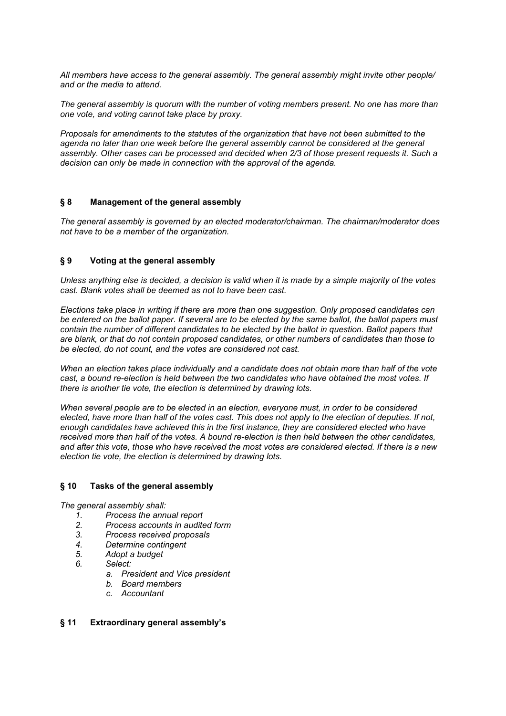*All members have access to the general assembly. The general assembly might invite other people/ and or the media to attend.* 

*The general assembly is quorum with the number of voting members present. No one has more than one vote, and voting cannot take place by proxy.*

*Proposals for amendments to the statutes of the organization that have not been submitted to the agenda no later than one week before the general assembly cannot be considered at the general assembly. Other cases can be processed and decided when 2/3 of those present requests it. Such a decision can only be made in connection with the approval of the agenda.* 

#### **§ 8 Management of the general assembly**

*The general assembly is governed by an elected moderator/chairman. The chairman/moderator does not have to be a member of the organization.* 

#### **§ 9 Voting at the general assembly**

*Unless anything else is decided, a decision is valid when it is made by a simple majority of the votes cast. Blank votes shall be deemed as not to have been cast.* 

*Elections take place in writing if there are more than one suggestion. Only proposed candidates can be entered on the ballot paper. If several are to be elected by the same ballot, the ballot papers must contain the number of different candidates to be elected by the ballot in question. Ballot papers that are blank, or that do not contain proposed candidates, or other numbers of candidates than those to be elected, do not count, and the votes are considered not cast.* 

*When an election takes place individually and a candidate does not obtain more than half of the vote cast, a bound re-election is held between the two candidates who have obtained the most votes. If there is another tie vote, the election is determined by drawing lots.* 

*When several people are to be elected in an election, everyone must, in order to be considered elected, have more than half of the votes cast. This does not apply to the election of deputies. If not, enough candidates have achieved this in the first instance, they are considered elected who have received more than half of the votes. A bound re-election is then held between the other candidates, and after this vote, those who have received the most votes are considered elected. If there is a new election tie vote, the election is determined by drawing lots.* 

#### **§ 10 Tasks of the general assembly**

*The general assembly shall:*

- *1. Process the annual report*
- *2. Process accounts in audited form*
- *3. Process received proposals*
- *4. Determine contingent*
- *5. Adopt a budget*
- *6. Select:* 
	- *a. President and Vice president*
	- *b. Board members*
	- *c. Accountant*

#### **§ 11 Extraordinary general assembly's**